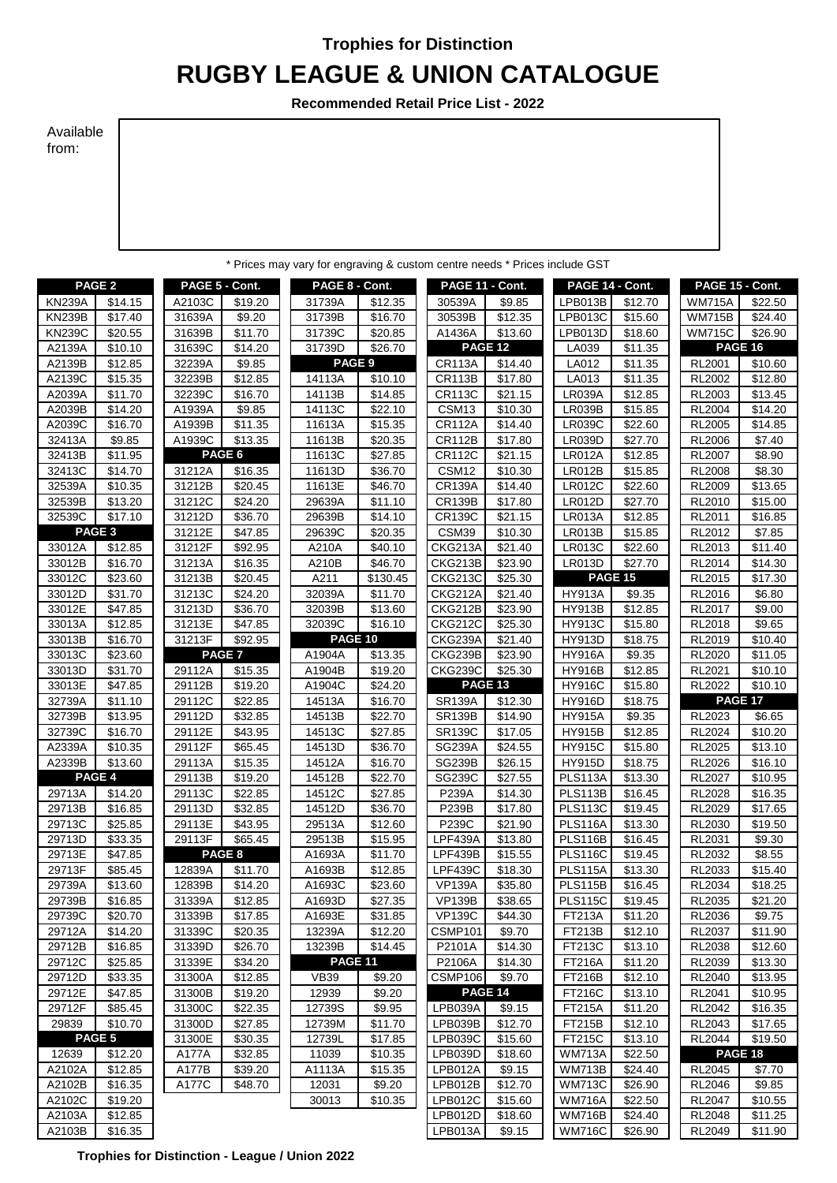## **Trophies for Distinction**

## **RUGBY LEAGUE & UNION CATALOGUE**

**Recommended Retail Price List - 2022**

## Available from:

| * Prices may vary for engraving & custom centre needs * Prices include GST |                     |                |                              |                          |                    |                    |                     |                                |                     |                                |                    |
|----------------------------------------------------------------------------|---------------------|----------------|------------------------------|--------------------------|--------------------|--------------------|---------------------|--------------------------------|---------------------|--------------------------------|--------------------|
|                                                                            | PAGE <sub>2</sub>   | PAGE 5 - Cont. |                              | PAGE 8 - Cont.           |                    | PAGE 11 - Cont.    |                     | PAGE 14 - Cont.                |                     | PAGE 15 - Cont.                |                    |
| <b>KN239A</b>                                                              | \$14.15             | A2103C         | \$19.20                      | 31739A                   | \$12.35            | 30539A             | \$9.85              | LPB013B                        | \$12.70             | <b>WM715A</b>                  | \$22.50            |
| <b>KN239B</b>                                                              | \$17.40             | 31639A         | $\overline{$}9.20$           | 31739B                   | \$16.70            | 30539B             | \$12.35             | <b>LPB013C</b>                 | \$15.60             | <b>WM715B</b>                  | \$24.40            |
| <b>KN239C</b>                                                              | \$20.55             | 31639B         | $\overline{$}11.70$          | 31739C                   | \$20.85            | A1436A             | \$13.60             | LPB013D                        | \$18.60             | <b>WM715C</b>                  | \$26.90            |
| A2139A                                                                     | \$10.10             | 31639C         | \$14.20                      | 31739D                   | \$26.70            |                    | PAGE 12             | LA039                          | \$11.35             | PAGE 16                        |                    |
| A2139B                                                                     | \$12.85             | 32239A         | \$9.85                       | PAGE 9                   |                    | <b>CR113A</b>      | \$14.40             | LA012                          | \$11.35             | RL2001                         | \$10.60            |
| A2139C                                                                     | \$15.35             | 32239B         | \$12.85                      | 14113A                   | \$10.10            | <b>CR113B</b>      | \$17.80             | LA013                          | \$11.35             | RL2002                         | \$12.80            |
| A2039A                                                                     | \$11.70             | 32239C         | \$16.70                      | 14113B                   | \$14.85            | <b>CR113C</b>      | \$21.15             | <b>LR039A</b>                  | \$12.85             | RL2003                         | \$13.45            |
| A2039B                                                                     | \$14.20             | A1939A         | \$9.85                       | 14113C                   | \$22.10            | CSM13              | \$10.30             | <b>LR039B</b>                  | \$15.85             | <b>RL2004</b>                  | \$14.20            |
| A2039C                                                                     | \$16.70             | A1939B         | \$11.35                      | 11613A                   | \$15.35            | <b>CR112A</b>      | \$14.40             | <b>LR039C</b>                  | \$22.60             | <b>RL2005</b>                  | \$14.85            |
| 32413A                                                                     | \$9.85              | A1939C         | \$13.35                      | 11613B                   | \$20.35            | <b>CR112B</b>      | \$17.80             | <b>LR039D</b>                  | \$27.70             | <b>RL2006</b>                  | \$7.40             |
| 32413B                                                                     | \$11.95             |                | PAGE 6                       | 11613C                   | \$27.85            | <b>CR112C</b>      | \$21.15             | <b>LR012A</b>                  | \$12.85             | <b>RL2007</b>                  | \$8.90             |
| 32413C                                                                     | \$14.70             | 31212A         | \$16.35                      | 11613D                   | \$36.70            | CSM12              | \$10.30             | <b>LR012B</b>                  | \$15.85             | <b>RL2008</b>                  | \$8.30             |
| 32539A                                                                     | \$10.35             | 31212B         | \$20.45                      | 11613E                   | \$46.70            | <b>CR139A</b>      | \$14.40             | <b>LR012C</b>                  | \$22.60             | RL2009                         | \$13.65            |
| 32539B                                                                     | \$13.20             | 31212C         | \$24.20                      | 29639A                   | \$11.10            | <b>CR139B</b>      | \$17.80             | <b>LR012D</b>                  | \$27.70             | RL2010                         | \$15.00            |
| 32539C                                                                     | \$17.10             | 31212D         | \$36.70                      | 29639B                   | \$14.10            | <b>CR139C</b>      | \$21.15             | <b>LR013A</b>                  | \$12.85             | RL2011                         | \$16.85            |
|                                                                            | PAGE <sub>3</sub>   | 31212E         | \$47.85                      | 29639C                   | \$20.35            | CSM39              | \$10.30             | <b>LR013B</b>                  | \$15.85             | RL2012                         | \$7.85             |
| 33012A                                                                     | \$12.85             | 31212F         | \$92.95                      | A210A                    | \$40.10            | <b>CKG213A</b>     | \$21.40             | <b>LR013C</b>                  | \$22.60             | RL2013                         | \$11.40            |
| 33012B                                                                     | \$16.70             | 31213A         | \$16.35                      | A210B                    | \$46.70            | CKG213B            | \$23.90             | <b>LR013D</b>                  | $\overline{$27.70}$ | RL2014                         | \$14.30            |
| 33012C                                                                     | \$23.60             | 31213B         | \$20.45                      | A211                     | \$130.45           | <b>CKG213C</b>     | \$25.30             | PAGE 15                        |                     | RL2015                         | \$17.30            |
| 33012D                                                                     | \$31.70             | 31213C         | \$24.20                      | 32039A                   | \$11.70            | CKG212A            | \$21.40             | <b>HY913A</b>                  | \$9.35              | RL2016                         | \$6.80             |
| 33012E                                                                     | \$47.85             | 31213D         | \$36.70                      | 32039B                   | \$13.60            | <b>CKG212B</b>     | \$23.90             | <b>HY913B</b>                  | \$12.85             | <b>RL2017</b>                  | \$9.00             |
| 33013A                                                                     | \$12.85             | 31213E         | \$47.85                      | 32039C<br><b>PAGE 10</b> | \$16.10            | <b>CKG212C</b>     | \$25.30             | <b>HY913C</b>                  | \$15.80             | <b>RL2018</b>                  | \$9.65             |
| 33013B<br>33013C                                                           | \$16.70<br>\$23.60  | 31213F         | \$92.95<br>PAGE <sub>7</sub> |                          |                    | CKG239A<br>CKG239B | \$21.40<br>\$23.90  | <b>HY913D</b><br><b>HY916A</b> | \$18.75<br>\$9.35   | RL2019<br>RL2020               | \$10.40            |
| 33013D                                                                     | \$31.70             | 29112A         | \$15.35                      | A1904A<br>A1904B         | \$13.35<br>\$19.20 | <b>CKG239C</b>     | \$25.30             | <b>HY916B</b>                  | \$12.85             | RL2021                         | \$11.05<br>\$10.10 |
| 33013E                                                                     | \$47.85             | 29112B         | \$19.20                      | A1904C                   | \$24.20            | PAGE 13            |                     | <b>HY916C</b>                  | \$15.80             | <b>RL2022</b>                  | \$10.10            |
| 32739A                                                                     | \$11.10             | 29112C         | \$22.85                      | 14513A                   | \$16.70            | <b>SR139A</b>      | \$12.30             | <b>HY916D</b>                  | \$18.75             | <b>PAGE 17</b>                 |                    |
| 32739B                                                                     | \$13.95             | 29112D         | \$32.85                      | 14513B                   | \$22.70            | <b>SR139B</b>      | \$14.90             | <b>HY915A</b>                  | \$9.35              | RL2023                         | \$6.65             |
| 32739C                                                                     | \$16.70             | 29112E         | \$43.95                      | 14513C                   | \$27.85            | <b>SR139C</b>      | \$17.05             | <b>HY915B</b>                  | \$12.85             | <b>RL2024</b>                  | \$10.20            |
| A2339A                                                                     | \$10.35             | 29112F         | \$65.45                      | 14513D                   | \$36.70            | <b>SG239A</b>      | \$24.55             | <b>HY915C</b>                  | \$15.80             | <b>RL2025</b>                  | \$13.10            |
| A2339B                                                                     | \$13.60             | 29113A         | \$15.35                      | 14512A                   | \$16.70            | <b>SG239B</b>      | \$26.15             | HY915D                         | \$18.75             | <b>RL2026</b>                  | \$16.10            |
|                                                                            | PAGE 4              | 29113B         | \$19.20                      | 14512B                   | \$22.70            | <b>SG239C</b>      | \$27.55             | <b>PLS113A</b>                 | \$13.30             | <b>RL2027</b>                  | \$10.95            |
| 29713A                                                                     | \$14.20             | 29113C         | \$22.85                      | 14512C                   | \$27.85            | P239A              | \$14.30             | <b>PLS113B</b>                 | \$16.45             | <b>RL2028</b>                  | \$16.35            |
| 29713B                                                                     | \$16.85             | 29113D         | \$32.85                      | 14512D                   | \$36.70            | P239B              | \$17.80             | <b>PLS113C</b>                 | \$19.45             | RL2029                         | \$17.65            |
| 29713C                                                                     | \$25.85             | 29113E         | \$43.95                      | 29513A                   | \$12.60            | P239C              | \$21.90             | <b>PLS116A</b>                 | \$13.30             | <b>RL2030</b>                  | \$19.50            |
| 29713D                                                                     | \$33.35             | 29113F         | \$65.45                      | 29513B                   | \$15.95            | <b>LPF439A</b>     | \$13.80             | PLS116B                        | \$16.45             | RL2031                         | \$9.30             |
| 29713E                                                                     | \$47.85             |                | PAGE <sub>8</sub>            | A1693A                   | \$11.70            | LPF439B            | \$15.55             | <b>PLS116C</b>                 | \$19.45             | RL2032                         | \$8.55             |
| 29713F                                                                     | \$85.45             | 12839A         | \$11.70                      | A1693B                   | \$12.85            | <b>LPF439C</b>     | \$18.30             | <b>PLS115A</b>                 | \$13.30             | RL2033                         | \$15.40            |
| 29739A                                                                     | \$13.60             | 12839B         | \$14.20                      | A1693C                   | \$23.60            | <b>VP139A</b>      | \$35.80             | <b>PLS115B</b>                 | \$16.45             | <b>RL2034</b>                  | \$18.25            |
| 29739B                                                                     | \$16.85             | 31339A         | \$12.85                      | A1693D                   | \$27.35            | <b>VP139B</b>      | \$38.65             | <b>PLS115C</b>                 | \$19.45             | <b>RL2035</b>                  | \$21.20            |
| 29739C                                                                     | \$20.70             | 31339B         | \$17.85                      | A1693E                   | \$31.85            | <b>VP139C</b>      | \$44.30             | FT213A                         | \$11.20             | <b>RL2036</b>                  | \$9.75             |
| 29712A                                                                     | \$14.20             | 31339C         | \$20.35                      | 13239A                   | \$12.20            | CSMP101            | \$9.70              | FT213B                         | \$12.10             | RL2037                         | \$11.90            |
| 29712B                                                                     | \$16.85             | 31339D         | \$26.70                      | 13239B                   | \$14.45            | P2101A             | \$14.30             | FT213C                         | \$13.10             | RL2038                         | \$12.60            |
| 29712C                                                                     | \$25.85             | 31339E         | \$34.20                      | <b>PAGE 11</b>           |                    | P2106A             | \$14.30             | <b>FT216A</b>                  | \$11.20             | RL2039                         | \$13.30            |
| 29712D                                                                     | \$33.35             | 31300A         | \$12.85                      | <b>VB39</b>              | \$9.20             | CSMP106            | \$9.70              | <b>FT216B</b>                  | \$12.10             | RL2040                         | \$13.95            |
| 29712E                                                                     | \$47.85             | 31300B         | \$19.20                      | 12939                    | \$9.20             |                    | <b>PAGE 14</b>      | FT216C                         | \$13.10             | <b>RL2041</b>                  | \$10.95            |
| 29712F                                                                     | \$85.45             | 31300C         | \$22.35                      | 12739S                   | \$9.95             | LPB039A            | \$9.15              | <b>FT215A</b>                  | \$11.20             | <b>RL2042</b>                  | \$16.35            |
| 29839                                                                      | \$10.70             | 31300D         | \$27.85                      | 12739M                   | \$11.70            | LPB039B            | $\overline{$}12.70$ | FT215B                         | \$12.10             | <b>RL2043</b>                  | \$17.65            |
|                                                                            | PAGE 5              | 31300E         | \$30.35                      | 12739L                   | \$17.85            | <b>LPB039C</b>     | \$15.60             | FT215C                         | \$13.10             | <b>RL2044</b>                  | \$19.50            |
| 12639                                                                      | \$12.20             | A177A          | \$32.85                      | 11039                    | \$10.35            | LPB039D            | \$18.60             | <b>WM713A</b>                  | \$22.50             |                                | PAGE 18            |
| A2102A                                                                     | $\overline{$}12.85$ | A177B          | \$39.20                      | A1113A                   | \$15.35            | LPB012A            | \$9.15              | <b>WM713B</b>                  | \$24.40             | RL2045                         | \$7.70             |
| A2102B                                                                     | \$16.35             | A177C          | \$48.70                      | 12031                    | \$9.20             | LPB012B<br>LPB012C | \$12.70             | <b>WM713C</b>                  | \$26.90             | <b>RL2046</b>                  | \$9.85             |
| A2102C<br>A2103A                                                           | \$19.20<br>\$12.85  |                |                              | 30013                    | \$10.35            | LPB012D            | \$15.60<br>\$18.60  | <b>WM716A</b><br><b>WM716B</b> | \$22.50<br>\$24.40  | <b>RL2047</b><br><b>RL2048</b> | \$10.55<br>\$11.25 |
| A2103B                                                                     | \$16.35             |                |                              |                          |                    | LPB013A            | \$9.15              | <b>WM716C</b>                  | \$26.90             | <b>RL2049</b>                  | \$11.90            |
|                                                                            |                     |                |                              |                          |                    |                    |                     |                                |                     |                                |                    |

**Trophies for Distinction - League / Union 2022**